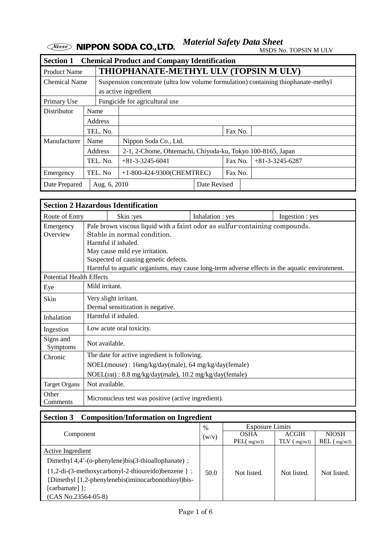*Material Safety Data Sheet*

MSDS No. TOPSIN M ULV

| <b>Section 1</b>              |          |          | <b>Chemical Product and Company Identification</b>                                  |         |         |  |                   |
|-------------------------------|----------|----------|-------------------------------------------------------------------------------------|---------|---------|--|-------------------|
| <b>Product Name</b>           |          |          | THIOPHANATE-METHYL ULV (TOPSIN M ULV)                                               |         |         |  |                   |
| <b>Chemical Name</b>          |          |          | Suspension concentrate (ultra low volume formulation) containing thiophanate-methyl |         |         |  |                   |
|                               |          |          | as active ingredient                                                                |         |         |  |                   |
| Primary Use                   |          |          | Fungicide for agricultural use                                                      |         |         |  |                   |
| <b>Distributor</b>            |          | Name     |                                                                                     |         |         |  |                   |
|                               |          | Address  |                                                                                     |         |         |  |                   |
|                               |          | TEL. No. |                                                                                     |         | Fax No. |  |                   |
| Manufacturer                  | Name     |          | Nippon Soda Co., Ltd.                                                               |         |         |  |                   |
|                               |          | Address  | 2-1, 2-Chome, Ohtemachi, Chiyoda-ku, Tokyo 100-8165, Japan                          |         |         |  |                   |
|                               | TEL. No. |          | $+81-3-3245-6041$                                                                   |         | Fax No. |  | $+81-3-3245-6287$ |
| Emergency                     |          | TEL. No  | $+1-800-424-9300$ (CHEMTREC)                                                        | Fax No. |         |  |                   |
| Date Prepared<br>Aug. 6, 2010 |          |          | Date Revised                                                                        |         |         |  |                   |

| <b>Section 2 Hazardous Identification</b> |                                                                                                                                                                                                                                                                                                               |                                                            |                  |                 |  |  |
|-------------------------------------------|---------------------------------------------------------------------------------------------------------------------------------------------------------------------------------------------------------------------------------------------------------------------------------------------------------------|------------------------------------------------------------|------------------|-----------------|--|--|
| Route of Entry                            |                                                                                                                                                                                                                                                                                                               | Skin: yes                                                  | Inhalation : yes | Ingestion : yes |  |  |
| Emergency<br>Overview                     | Pale brown viscous liquid with a faint odor as sulfur-containing compounds.<br>Stable in normal condition.<br>Harmful if inhaled.<br>May cause mild eye irritation.<br>Suspected of causing genetic defects.<br>Harmful to aquatic organisms, may cause long-term adverse effects in the aquatic environment. |                                                            |                  |                 |  |  |
| <b>Potential Health Effects</b>           |                                                                                                                                                                                                                                                                                                               |                                                            |                  |                 |  |  |
| Eye                                       | Mild irritant.                                                                                                                                                                                                                                                                                                |                                                            |                  |                 |  |  |
| Skin                                      |                                                                                                                                                                                                                                                                                                               | Very slight irritant.<br>Dermal sensitization is negative. |                  |                 |  |  |
| Inhalation                                |                                                                                                                                                                                                                                                                                                               | Harmful if inhaled.                                        |                  |                 |  |  |
| Ingestion                                 |                                                                                                                                                                                                                                                                                                               | Low acute oral toxicity.                                   |                  |                 |  |  |
| Signs and<br>Symptoms                     | Not available.                                                                                                                                                                                                                                                                                                |                                                            |                  |                 |  |  |
| Chronic                                   | The date for active ingredient is following.                                                                                                                                                                                                                                                                  |                                                            |                  |                 |  |  |
|                                           |                                                                                                                                                                                                                                                                                                               | NOEL(mouse): 16mg/kg/day(male), 64 mg/kg/day(female)       |                  |                 |  |  |
|                                           | NOEL(rat): 8.8 mg/kg/day(male), 10.2 mg/kg/day(female)                                                                                                                                                                                                                                                        |                                                            |                  |                 |  |  |
| <b>Target Organs</b>                      |                                                                                                                                                                                                                                                                                                               | Not available.                                             |                  |                 |  |  |
| Other<br>Comments                         |                                                                                                                                                                                                                                                                                                               | Micronucleus test was positive (active ingredient).        |                  |                 |  |  |

# **Section 3 Composition/Information on Ingredient**

|                                                       | $\%$  | <b>Exposure Limits</b> |                   |                   |
|-------------------------------------------------------|-------|------------------------|-------------------|-------------------|
| Component                                             | (w/v) | <b>OSHA</b>            | <b>ACGIH</b>      | <b>NIOSH</b>      |
|                                                       |       | $PEL$ ( $mg/m3$ )      | $TLV$ ( $mg/m3$ ) | $REL$ ( $mg/m3$ ) |
| <b>Active Ingredient</b>                              |       |                        |                   |                   |
| Dimethyl $4,4'$ -(o-phenylene)bis(3-thioallophanate); |       |                        |                   |                   |
| {1,2-di-(3-methoxycarbonyl-2-thioureido)benzene } ;   | 50.0  | Not listed.            | Not listed.       | Not listed.       |
| {Dimethyl [1,2-phenylenebis(iminocarbonothioyl)bis-   |       |                        |                   |                   |
| [carbamate] };                                        |       |                        |                   |                   |
| (CAS No.23564-05-8)                                   |       |                        |                   |                   |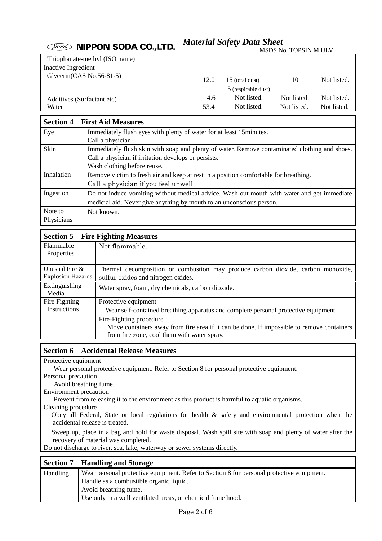#### *Material Safety Data Sheet* **Wisso NIPPON SODA CO., LTD.** MSDS No. TOPSIN M ULV

|                               |      |                                            | TARAFINA TANAT TANAT INI TAHAR |             |
|-------------------------------|------|--------------------------------------------|--------------------------------|-------------|
| Thiophanate-methyl (ISO name) |      |                                            |                                |             |
| Inactive Ingredient           |      |                                            |                                |             |
| Glycerin(CAS No.56-81-5)      | 12.0 | $15$ (total dust)<br>$5$ (respirable dust) | 10                             | Not listed. |
|                               |      |                                            |                                |             |
| Additives (Surfactant etc)    | 4.6  | Not listed.                                | Not listed.                    | Not listed. |
| Water                         | 53.4 | Not listed.                                | Not listed.                    | Not listed. |

| <b>Section 4</b> | <b>First Aid Measures</b>                                                                     |
|------------------|-----------------------------------------------------------------------------------------------|
| Eye              | Immediately flush eyes with plenty of water for at least 15 minutes.                          |
|                  | Call a physician.                                                                             |
| Skin             | Immediately flush skin with soap and plenty of water. Remove contaminated clothing and shoes. |
|                  | Call a physician if irritation develops or persists.                                          |
|                  | Wash clothing before reuse.                                                                   |
| Inhalation       | Remove victim to fresh air and keep at rest in a position comfortable for breathing.          |
|                  | Call a physician if you feel unwell                                                           |
| Ingestion        | Do not induce vomiting without medical advice. Wash out mouth with water and get immediate    |
|                  | medicial aid. Never give anything by mouth to an unconscious person.                          |
| Note to          | Not known.                                                                                    |
| Physicians       |                                                                                               |

| <b>Section 5</b>         | <b>Fire Fighting Measures</b>                                                             |  |  |  |  |
|--------------------------|-------------------------------------------------------------------------------------------|--|--|--|--|
| Flammable                | Not flammable.                                                                            |  |  |  |  |
| <b>Properties</b>        |                                                                                           |  |  |  |  |
| Unusual Fire $&$         | Thermal decomposition or combustion may produce carbon dioxide, carbon monoxide,          |  |  |  |  |
| <b>Explosion Hazards</b> | sulfur oxides and nitrogen oxides.                                                        |  |  |  |  |
| Extinguishing            | Water spray, foam, dry chemicals, carbon dioxide.                                         |  |  |  |  |
| Media                    |                                                                                           |  |  |  |  |
| Fire Fighting            | Protective equipment                                                                      |  |  |  |  |
| <b>Instructions</b>      | Wear self-contained breathing apparatus and complete personal protective equipment.       |  |  |  |  |
|                          | Fire-Fighting procedure                                                                   |  |  |  |  |
|                          | Move containers away from fire area if it can be done. If impossible to remove containers |  |  |  |  |
|                          | from fire zone, cool them with water spray.                                               |  |  |  |  |

# **Section 6 Accidental Release Measures**

Protective equipment

Wear personal protective equipment. Refer to Section 8 for personal protective equipment.

Personal precaution

Avoid breathing fume.

Environment precaution

Prevent from releasing it to the environment as this product is harmful to aquatic organisms.

Cleaning procedure

Obey all Federal, State or local regulations for health & safety and environmental protection when the accidental release is treated.

Sweep up, place in a bag and hold for waste disposal. Wash spill site with soap and plenty of water after the recovery of material was completed.

Do not discharge to river, sea, lake, waterway or sewer systems directly.

| <b>Section 7</b> | <b>Handling and Storage</b>                                                               |
|------------------|-------------------------------------------------------------------------------------------|
| <b>Handling</b>  | Wear personal protective equipment. Refer to Section 8 for personal protective equipment. |
|                  | Handle as a combustible organic liquid.                                                   |
|                  | Avoid breathing fume.                                                                     |
|                  | Use only in a well ventilated areas, or chemical fume hood.                               |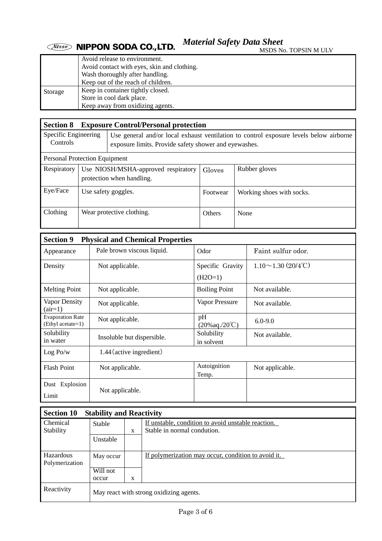*Material Safety Data Sheet*

MSDS No. TOPSIN M ULV

|         | Avoid release to environment.               |  |  |  |  |
|---------|---------------------------------------------|--|--|--|--|
|         | Avoid contact with eyes, skin and clothing. |  |  |  |  |
|         | Wash thoroughly after handling.             |  |  |  |  |
|         | Keep out of the reach of children.          |  |  |  |  |
| Storage | Keep in container tightly closed.           |  |  |  |  |
|         | Store in cool dark place.                   |  |  |  |  |
|         | Keep away from oxidizing agents.            |  |  |  |  |

| <b>Section 8</b>                     |                           | <b>Exposure Control/Personal protection</b>                                                                                                     |               |                           |  |  |  |
|--------------------------------------|---------------------------|-------------------------------------------------------------------------------------------------------------------------------------------------|---------------|---------------------------|--|--|--|
| Specific Engineering<br>Controls     |                           | Use general and/or local exhaust ventilation to control exposure levels below airborne<br>exposure limits. Provide safety shower and eyewashes. |               |                           |  |  |  |
| <b>Personal Protection Equipment</b> |                           |                                                                                                                                                 |               |                           |  |  |  |
| Respiratory                          |                           | Use NIOSH/MSHA-approved respiratory<br>protection when handling.                                                                                | Gloves        | Rubber gloves             |  |  |  |
| Eye/Face                             |                           | Use safety goggles.                                                                                                                             | Footwear      | Working shoes with socks. |  |  |  |
| Clothing                             | Wear protective clothing. |                                                                                                                                                 | <b>Others</b> | None                      |  |  |  |

| <b>Section 9</b><br><b>Physical and Chemical Properties</b> |                                              |                           |  |  |  |
|-------------------------------------------------------------|----------------------------------------------|---------------------------|--|--|--|
| Pale brown viscous liquid.                                  | Odor                                         | Faint sulfur odor.        |  |  |  |
| Not applicable.                                             | Specific Gravity<br>$(H2O=1)$                | $1.10 \sim 1.30$ (20/4°C) |  |  |  |
| Not applicable.                                             | <b>Boiling Point</b>                         | Not available.            |  |  |  |
| Not applicable.                                             | Vapor Pressure                               | Not available.            |  |  |  |
| Not applicable.                                             | pH<br>$(20\% \text{aq.}/20^{\circ}\text{C})$ | $6.0 - 9.0$               |  |  |  |
| Insoluble but dispersible.                                  | Solubility<br>in solvent                     | Not available.            |  |  |  |
| 1.44 (active ingredient)                                    |                                              |                           |  |  |  |
| Not applicable.                                             | Autoignition<br>Temp.                        | Not applicable.           |  |  |  |
| Not applicable.                                             |                                              |                           |  |  |  |
|                                                             |                                              |                           |  |  |  |

| <b>Section 10</b><br><b>Stability and Reactivity</b> |                                         |   |                                                                                   |  |
|------------------------------------------------------|-----------------------------------------|---|-----------------------------------------------------------------------------------|--|
| <b>Chemical</b>                                      | Stable                                  |   | If unstable, condition to avoid unstable reaction.<br>Stable in normal condution. |  |
| <b>Stability</b>                                     |                                         | X |                                                                                   |  |
|                                                      | Unstable                                |   |                                                                                   |  |
|                                                      |                                         |   |                                                                                   |  |
| Hazardous                                            | May occur                               |   | If polymerization may occur, condition to avoid it.                               |  |
| Polymerization                                       |                                         |   |                                                                                   |  |
|                                                      | Will not                                |   |                                                                                   |  |
|                                                      | occur                                   | X |                                                                                   |  |
| Reactivity                                           | May react with strong oxidizing agents. |   |                                                                                   |  |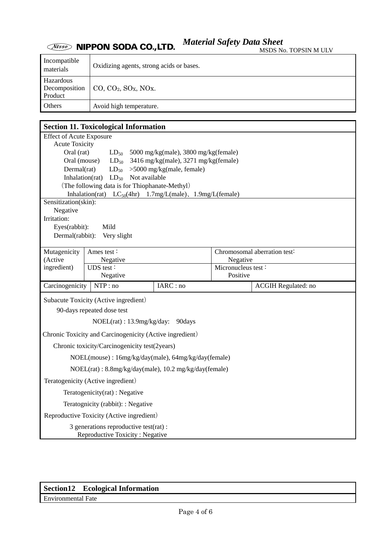### *Material Safety Data Sheet* **Wisso NIPPON SODA CO., LTD.**

| Incompatible<br>materials             | Oxidizing agents, strong acids or bases.                          |
|---------------------------------------|-------------------------------------------------------------------|
| Hazardous<br>Decomposition<br>Product | $\vert$ CO, CO <sub>2</sub> , SO <sub>x</sub> , NO <sub>x</sub> . |
| Others                                | Avoid high temperature.                                           |

### **Section 11. Toxicological Information** Effect of Acute Exposure Acute Toxicity Oral (rat)  $LD_{50}$  5000 mg/kg(male), 3800 mg/kg(female) Oral (mouse)  $LD_{50}$  3416 mg/kg(male), 3271 mg/kg(female) Dermal(rat)  $LD_{50}$  > 5000 mg/kg(male, female) Inhalation(rat)  $LD_{50}$  Not available (The following data is for Thiophanate-Methyl) Inhalation(rat)  $LC_{50}(4hr)$  1.7mg/L(male), 1.9mg/L(female) Sensitization(skin): Negative Irritation: Eyes(rabbit): Mild Dermal(rabbit): Very slight Ames test : Negative Chromosomal aberration test: Negative Mutagenicity (Active ingredient) UDS test : Negative Micronucleus test : Positive Carcinogenicity NTP : no IARC : no ACGIH Regulated: no Subacute Toxicity (Active ingredient) 90-days repeated dose test NOEL(rat) : 13.9mg/kg/day: 90days Chronic Toxicity and Carcinogenicity (Active ingredient) Chronic toxicity/Carcinogenicity test(2years) NOEL(mouse) : 16mg/kg/day(male), 64mg/kg/day(female) NOEL(rat) : 8.8mg/kg/day(male), 10.2 mg/kg/day(female) Teratogenicity (Active ingredient) Teratogenicity(rat) : Negative Teratognicity (rabbit): : Negative Reproductive Toxicity (Active ingredient) 3 generations reproductive test(rat) : Reproductive Toxicity : Negative

### **Section12 Ecological Information**

Environmental Fate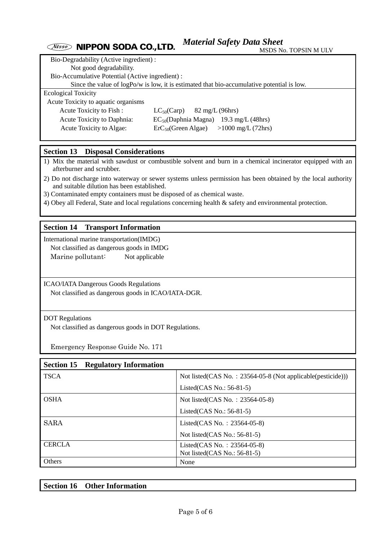#### *Material Safety Data Sheet Nisso* **NIPPON SODA CO., LTD.** MSDS No. TOPSIN M ULV

| Bio-Degradability (Active ingredient):           |                                                                                            |  |  |  |
|--------------------------------------------------|--------------------------------------------------------------------------------------------|--|--|--|
| Not good degradability.                          |                                                                                            |  |  |  |
| Bio-Accumulative Potential (Active ingredient) : |                                                                                            |  |  |  |
|                                                  | Since the value of logPo/w is low, it is estimated that bio-accumulative potential is low. |  |  |  |
| <b>Ecological Toxicity</b>                       |                                                                                            |  |  |  |
| Acute Toxicity to aquatic organisms              |                                                                                            |  |  |  |
| Acute Toxicity to Fish:                          | $82 \text{ mg/L}$ (96hrs)<br>$LC_{50}(Carp)$                                               |  |  |  |
| Acute Toxicity to Daphnia:                       | $EC_{50}(Daphnia Magna)$ 19.3 mg/L (48hrs)                                                 |  |  |  |
| Acute Toxicity to Algae:                         | $>1000 \text{ mg/L}$ (72hrs)<br>$\text{ErC}_{50}$ (Green Algae)                            |  |  |  |
|                                                  |                                                                                            |  |  |  |

# **Section 13 Disposal Considerations**

1) Mix the material with sawdust or combustible solvent and burn in a chemical incinerator equipped with an afterburner and scrubber.

- 2) Do not discharge into waterway or sewer systems unless permission has been obtained by the local authority and suitable dilution has been established.
- 3) Contaminated empty containers must be disposed of as chemical waste.
- 4) Obey all Federal, State and local regulations concerning health & safety and environmental protection.

### **Section 14 Transport Information**

International marine transportation(IMDG) Not classified as dangerous goods in IMDG Marine pollutant: Not applicable

ICAO/IATA Dangerous Goods Regulations

Not classified as dangerous goods in ICAO/IATA-DGR.

### DOT Regulations

Not classified as dangerous goods in DOT Regulations.

Emergency Response Guide No. 171

| <b>Section 15</b> | <b>Regulatory Information</b> |                                                             |
|-------------------|-------------------------------|-------------------------------------------------------------|
| <b>TSCA</b>       |                               | Not listed(CAS No.: 23564-05-8 (Not applicable(pesticide))) |
|                   |                               | Listed(CAS No.: $56-81-5$ )                                 |
| <b>OSHA</b>       |                               | Not listed(CAS No.: 23564-05-8)                             |
|                   |                               | Listed(CAS No.: $56-81-5$ )                                 |
| <b>SARA</b>       |                               | Listed(CAS No. : 23564-05-8)                                |
|                   |                               | Not listed $(CAS No.: 56-81-5)$                             |
| <b>CERCLA</b>     |                               | Listed(CAS No.: 23564-05-8)                                 |
|                   |                               | Not listed(CAS No.: 56-81-5)                                |
| <b>Others</b>     |                               | None                                                        |

| Section 16 | <b>Other Information</b> |
|------------|--------------------------|
|            |                          |